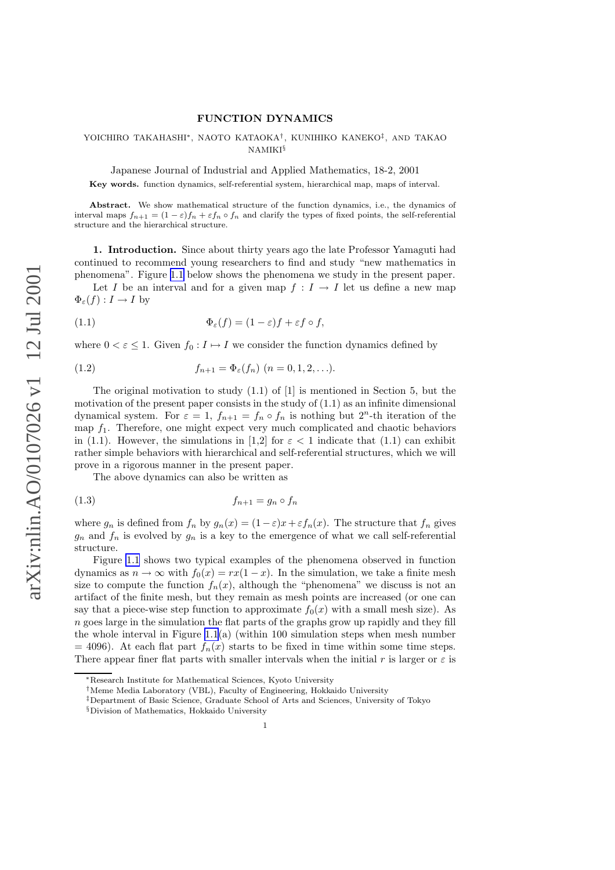## FUNCTION DYNAMICS

## <span id="page-0-0"></span>YOICHIRO TAKAHASHI\*, NAOTO KATAOKA<sup>†</sup>, KUNIHIKO KANEKO<sup>‡</sup>, AND TAKAO NAMIKI§

Japanese Journal of Industrial and Applied Mathematics, 18-2, 2001

Key words. function dynamics, self-referential system, hierarchical map, maps of interval.

Abstract. We show mathematical structure of the function dynamics, i.e., the dynamics of interval maps  $f_{n+1} = (1 - \varepsilon)f_n + \varepsilon f_n \circ f_n$  and clarify the types of fixed points, the self-referential structure and the hierarchical structure.

1. Introduction. Since about thirty years ago the late Professor Yamaguti had continued to recommend young researchers to find and study "new mathematics in phenomena". Figure [1.1](#page-1-0) below shows the phenomena we study in the present paper.

Let I be an interval and for a given map  $f: I \to I$  let us define a new map  $\Phi_{\varepsilon}(f): I \to I$  by

(1.1) 
$$
\Phi_{\varepsilon}(f) = (1 - \varepsilon)f + \varepsilon f \circ f,
$$

where  $0 < \varepsilon \leq 1$ . Given  $f_0: I \mapsto I$  we consider the function dynamics defined by

(1.2) 
$$
f_{n+1} = \Phi_{\varepsilon}(f_n) \ (n = 0, 1, 2, \ldots).
$$

The original motivation to study  $(1.1)$  of  $[1]$  is mentioned in Section 5, but the motivation of the present paper consists in the study of  $(1.1)$  as an infinite dimensional dynamical system. For  $\varepsilon = 1$ ,  $f_{n+1} = f_n \circ f_n$  is nothing but  $2^n$ -th iteration of the map  $f_1$ . Therefore, one might expect very much complicated and chaotic behaviors in (1.1). However, the simulations in [1,2] for  $\varepsilon < 1$  indicate that (1.1) can exhibit rather simple behaviors with hierarchical and self-referential structures, which we will prove in a rigorous manner in the present paper.

The above dynamics can also be written as

$$
(1.3) \t\t\t f_{n+1} = g_n \circ f_n
$$

where  $g_n$  is defined from  $f_n$  by  $g_n(x) = (1 - \varepsilon)x + \varepsilon f_n(x)$ . The structure that  $f_n$  gives  $g_n$  and  $f_n$  is evolved by  $g_n$  is a key to the emergence of what we call self-referential structure.

Figure [1.1](#page-1-0) shows two typical examples of the phenomena observed in function dynamics as  $n \to \infty$  with  $f_0(x) = rx(1-x)$ . In the simulation, we take a finite mesh size to compute the function  $f_n(x)$ , although the "phenomena" we discuss is not an artifact of the finite mesh, but they remain as mesh points are increased (or one can say that a piece-wise step function to approximate  $f_0(x)$  with a small mesh size). As n goes large in the simulation the flat parts of the graphs grow up rapidly and they fill the whole interval in Figure [1.1](#page-1-0)(a) (within 100 simulation steps when mesh number  $= 4096$ ). At each flat part  $f_n(x)$  starts to be fixed in time within some time steps. There appear finer flat parts with smaller intervals when the initial r is larger or  $\varepsilon$  is

<sup>∗</sup>Research Institute for Mathematical Sciences, Kyoto University

<sup>†</sup>Meme Media Laboratory (VBL), Faculty of Engineering, Hokkaido University

<sup>‡</sup>Department of Basic Science, Graduate School of Arts and Sciences, University of Tokyo

<sup>§</sup>Division of Mathematics, Hokkaido University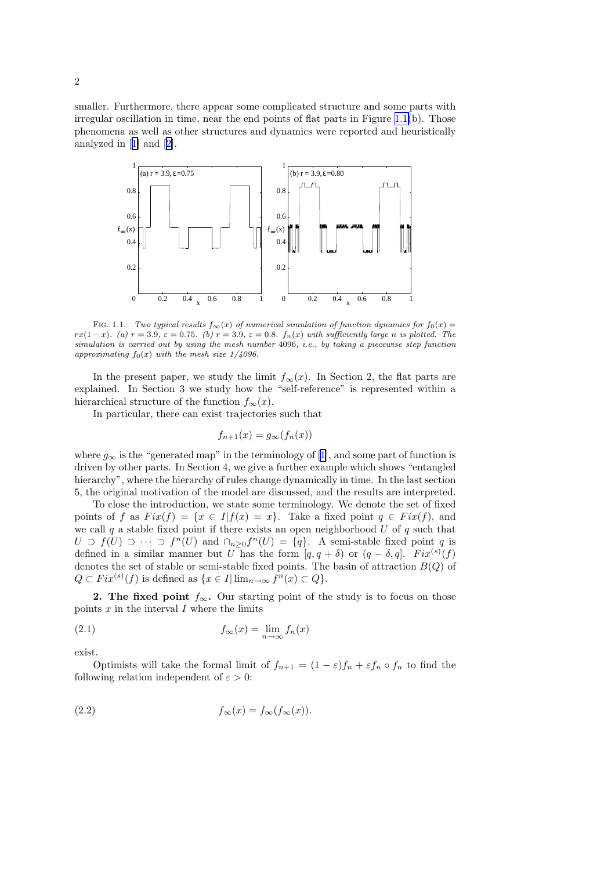<span id="page-1-0"></span>smaller. Furthermore, there appear some complicated structure and some parts with irregular oscillation in time, near the end points of flat parts in Figure 1.1(b). Those phenomena as well as other structures and dynamics were reported and heuristically analyzed in[[1\]](#page-15-0) and[[2\]](#page-15-0).



FIG. 1.1. Two typical results  $f_{\infty}(x)$  of numerical simulation of function dynamics for  $f_0(x)$  = rx(1 - x). (a) r = 3.9,  $\varepsilon = 0.75$ . (b) r = 3.9,  $\varepsilon = 0.8$ .  $f_n(x)$  with sufficiently large n is plotted. The simulation is carried out by using the mesh number 4096, i.e., by taking a piecewise step function approximating  $f_0(x)$  with the mesh size  $1/4096$ .

In the present paper, we study the limit  $f_{\infty}(x)$ . In Section 2, the flat parts are explained. In Section 3 we study how the "self-reference" is represented within a hierarchical structure of the function  $f_{\infty}(x)$ .

In particular, there can exist trajectories such that

$$
f_{n+1}(x) = g_{\infty}(f_n(x))
$$

where $g_{\infty}$  is the "generated map" in the terminology of [[1](#page-15-0)], and some part of function is driven by other parts. In Section 4, we give a further example which shows "entangled hierarchy", where the hierarchy of rules change dynamically in time. In the last section 5, the original motivation of the model are discussed, and the results are interpreted.

To close the introduction, we state some terminology. We denote the set of fixed points of f as  $Fix(f) = \{x \in I | f(x) = x\}$ . Take a fixed point  $q \in Fix(f)$ , and we call q a stable fixed point if there exists an open neighborhood  $U$  of  $q$  such that  $U \supset f(U) \supset \cdots \supset f^{n}(U)$  and  $\bigcap_{n\geq 0} f^{n}(U) = \{q\}.$  A semi-stable fixed point q is defined in a similar manner but U has the form  $[q, q + \delta)$  or  $(q - \delta, q]$ .  $Fix^{(s)}(f)$ denotes the set of stable or semi-stable fixed points. The basin of attraction  $B(Q)$  of  $Q \subset Fix^{(s)}(f)$  is defined as  $\{x \in I | \lim_{n \to \infty} f^{n}(x) \subset Q\}.$ 

2. The fixed point  $f_{\infty}$ . Our starting point of the study is to focus on those points  $x$  in the interval  $I$  where the limits

(2.1) 
$$
f_{\infty}(x) = \lim_{n \to \infty} f_n(x)
$$

exist.

Optimists will take the formal limit of  $f_{n+1} = (1 - \varepsilon)f_n + \varepsilon f_n \circ f_n$  to find the following relation independent of  $\varepsilon > 0$ :

(2.2) 
$$
f_{\infty}(x) = f_{\infty}(f_{\infty}(x)).
$$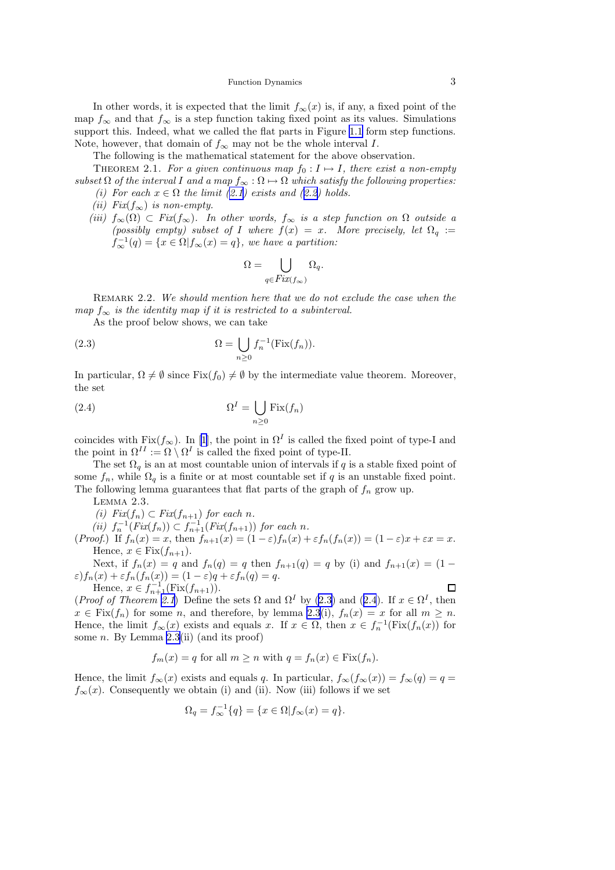Function Dynamics 3

<span id="page-2-0"></span>In other words, it is expected that the limit  $f_{\infty}(x)$  is, if any, a fixed point of the map  $f_{\infty}$  and that  $f_{\infty}$  is a step function taking fixed point as its values. Simulations support this. Indeed, what we called the flat parts in Figure [1.1](#page-1-0) form step functions. Note, however, that domain of  $f_{\infty}$  may not be the whole interval I.

The following is the mathematical statement for the above observation.

THEOREM 2.1. For a given continuous map  $f_0 : I \mapsto I$ , there exist a non-empty subset  $\Omega$  of the interval I and a map  $f_{\infty} : \Omega \mapsto \Omega$  which satisfy the following properties: (i) For each  $x \in \Omega$  the limit ([2.1\)](#page-1-0) exists and ([2.2\)](#page-1-0) holds.

- (ii) Fix $(f_{\infty})$  is non-empty.
- (iii)  $f_{\infty}(\Omega) \subset Fix(f_{\infty})$ . In other words,  $f_{\infty}$  is a step function on  $\Omega$  outside a (possibly empty) subset of I where  $f(x) = x$ . More precisely, let  $\Omega_q :=$  $f^{-1}_{\infty}(q) = \{x \in \Omega | f_{\infty}(x) = q\},$  we have a partition:

$$
\Omega = \bigcup_{q \in Fix(f_{\infty})} \Omega_q.
$$

REMARK 2.2. We should mention here that we do not exclude the case when the map  $f_{\infty}$  is the identity map if it is restricted to a subinterval.

As the proof below shows, we can take

(2.3) 
$$
\Omega = \bigcup_{n \geq 0} f_n^{-1}(\text{Fix}(f_n)).
$$

In particular,  $\Omega \neq \emptyset$  since Fix $(f_0) \neq \emptyset$  by the intermediate value theorem. Moreover, the set

(2.4) 
$$
\Omega^{I} = \bigcup_{n \geq 0} \text{Fix}(f_n)
$$

coincideswith Fix $(f_{\infty})$ . In [[1\]](#page-15-0), the point in  $\Omega^I$  is called the fixed point of type-I and the point in  $\Omega^{II} := \Omega \setminus \Omega^{I}$  is called the fixed point of type-II.

The set  $\Omega_q$  is an at most countable union of intervals if q is a stable fixed point of some  $f_n$ , while  $\Omega_q$  is a finite or at most countable set if q is an unstable fixed point. The following lemma guarantees that flat parts of the graph of  $f_n$  grow up.

Lemma 2.3.

(i) 
$$
Fix(f_n) \subset Fix(f_{n+1})
$$
 for each n.

(ii)  $f_n^{-1}(Fix(f_n)) \subset f_{n+1}^{-1}(Fix(f_{n+1}))$  for each n.

(Proof.) If  $f_n(x) = x$ , then  $f_{n+1}(x) = (1 - \varepsilon)f_n(x) + \varepsilon f_n(f_n(x)) = (1 - \varepsilon)x + \varepsilon x = x$ . Hence,  $x \in \text{Fix}(f_{n+1})$ .

Next, if  $f_n(x) = q$  and  $f_n(q) = q$  then  $f_{n+1}(q) = q$  by (i) and  $f_{n+1}(x) = (1 \varepsilon$ ) $f_n(x) + \varepsilon f_n(f_n(x)) = (1 - \varepsilon)q + \varepsilon f_n(q) = q.$  $\Box$ 

Hence,  $x \in f_{n+1}^{-1}(\text{Fix}(f_{n+1})).$ (*Proof of Theorem 2.1*) Define the sets  $\Omega$  and  $\Omega^I$  by (2.3) and (2.4). If  $x \in \Omega^I$ , then  $x \in Fix(f_n)$  for some n, and therefore, by lemma 2.3(i),  $f_n(x) = x$  for all  $m \geq n$ . Hence, the limit  $f_{\infty}(x)$  exists and equals x. If  $x \in \Omega$ , then  $x \in f_{n}^{-1}(\text{Fix}(f_{n}(x))$  for some  $n$ . By Lemma 2.3(ii) (and its proof)

$$
f_m(x) = q
$$
 for all  $m \ge n$  with  $q = f_n(x) \in \text{Fix}(f_n)$ .

Hence, the limit  $f_{\infty}(x)$  exists and equals q. In particular,  $f_{\infty}(f_{\infty}(x)) = f_{\infty}(q) = q =$  $f_{\infty}(x)$ . Consequently we obtain (i) and (ii). Now (iii) follows if we set

$$
\Omega_q = f_{\infty}^{-1}\{q\} = \{x \in \Omega | f_{\infty}(x) = q\}.
$$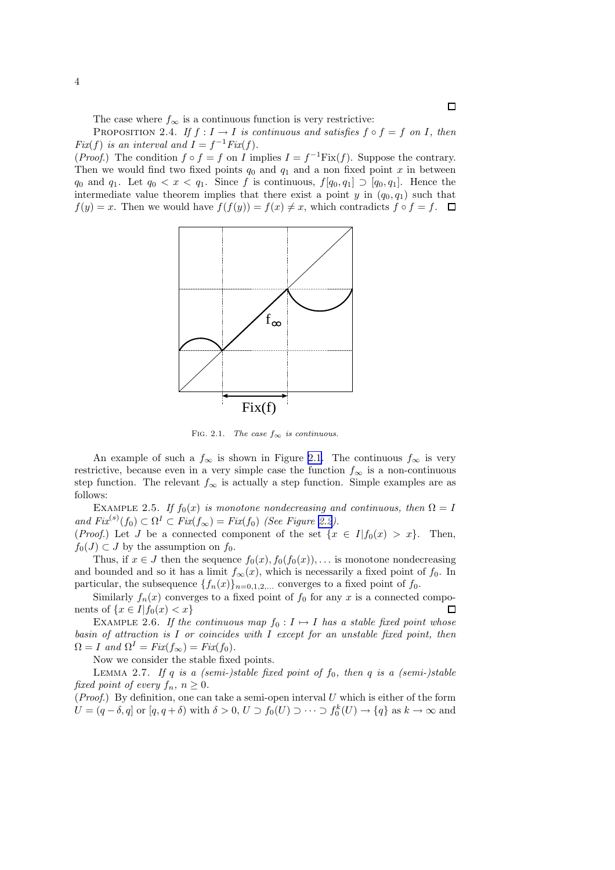The case where  $f_{\infty}$  is a continuous function is very restrictive:

<span id="page-3-0"></span>PROPOSITION 2.4. If  $f: I \to I$  is continuous and satisfies  $f \circ f = f$  on I, then  $Fix(f)$  is an interval and  $I = f^{-1}Fix(f)$ .

(*Proof.*) The condition  $f \circ f = f$  on I implies  $I = f^{-1}Fix(f)$ . Suppose the contrary. Then we would find two fixed points  $q_0$  and  $q_1$  and a non fixed point x in between  $q_0$  and  $q_1$ . Let  $q_0 < x < q_1$ . Since f is continuous,  $f[q_0, q_1] \supset [q_0, q_1]$ . Hence the intermediate value theorem implies that there exist a point y in  $(q_0, q_1)$  such that  $f(y) = x$ . Then we would have  $f(f(y)) = f(x) \neq x$ , which contradicts  $f \circ f = f$ .  $\Box$ 



FIG. 2.1. The case  $f_{\infty}$  is continuous.

An example of such a  $f_{\infty}$  is shown in Figure [2.1.](#page-1-0) The continuous  $f_{\infty}$  is very restrictive, because even in a very simple case the function  $f_{\infty}$  is a non-continuous step function. The relevant  $f_{\infty}$  is actually a step function. Simple examples are as follows:

EXAMPLE 2.5. If  $f_0(x)$  is monotone nondecreasing and continuous, then  $\Omega = I$ and  $Fix^{(s)}(f_0) \subset \Omega^I \subset Fix(f_\infty) = Fix(f_0)$  (See Figure [2.2](#page-4-0)).

(*Proof.*) Let J be a connected component of the set  $\{x \in I | f_0(x) > x\}$ . Then,  $f_0(J) \subset J$  by the assumption on  $f_0$ .

Thus, if  $x \in J$  then the sequence  $f_0(x), f_0(f_0(x)), \ldots$  is monotone nondecreasing and bounded and so it has a limit  $f_{\infty}(x)$ , which is necessarily a fixed point of  $f_0$ . In particular, the subsequence  $\{f_n(x)\}_{n=0,1,2,...}$  converges to a fixed point of  $f_0$ .

Similarly  $f_n(x)$  converges to a fixed point of  $f_0$  for any x is a connected components of  $\{x \in I | f_0(x) < x\}$  $\Box$ 

EXAMPLE 2.6. If the continuous map  $f_0 : I \mapsto I$  has a stable fixed point whose basin of attraction is  $I$  or coincides with  $I$  except for an unstable fixed point, then  $\Omega = I$  and  $\Omega^I = Fix(f_\infty) = Fix(f_0)$ .

Now we consider the stable fixed points.

LEMMA 2.7. If q is a (semi-)stable fixed point of  $f_0$ , then q is a (semi-)stable fixed point of every  $f_n$ ,  $n \geq 0$ .

(*Proof.*) By definition, one can take a semi-open interval  $U$  which is either of the form  $U = (q - \delta, q]$  or  $[q, q + \delta)$  with  $\delta > 0, U \supset f_0(U) \supset \cdots \supset f_0^k(U) \rightarrow \{q\}$  as  $k \rightarrow \infty$  and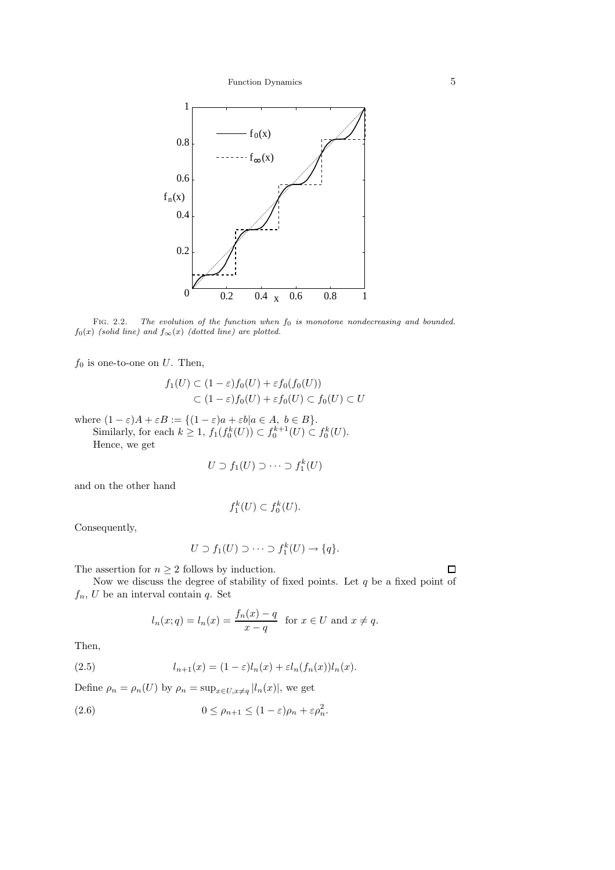<span id="page-4-0"></span>

FIG. 2.2. The evolution of the function when  $f_0$  is monotone nondecreasing and bounded.  $f_0(x)$  (solid line) and  $f_{\infty}(x)$  (dotted line) are plotted.

 $f_0$  is one-to-one on  $U$ . Then,

$$
f_1(U) \subset (1 - \varepsilon) f_0(U) + \varepsilon f_0(f_0(U))
$$
  

$$
\subset (1 - \varepsilon) f_0(U) + \varepsilon f_0(U) \subset f_0(U) \subset U
$$

where  $(1 - \varepsilon)A + \varepsilon B := \{(1 - \varepsilon)a + \varepsilon b | a \in A, b \in B\}.$ 

Similarly, for each  $k \ge 1$ ,  $f_1(f_0^k(U)) \subset f_0^{k+1}(U) \subset f_0^k(U)$ .

Hence, we get

$$
U \supset f_1(U) \supset \cdots \supset f_1^k(U)
$$

and on the other hand

$$
f_1^k(U) \subset f_0^k(U).
$$

Consequently,

$$
U \supset f_1(U) \supset \cdots \supset f_1^k(U) \to \{q\}.
$$

The assertion for  $n \geq 2$  follows by induction.

Now we discuss the degree of stability of fixed points. Let  $q$  be a fixed point of  $f_n$ , U be an interval contain q. Set

$$
l_n(x;q) = l_n(x) = \frac{f_n(x) - q}{x - q}
$$
 for  $x \in U$  and  $x \neq q$ .

Then,

(2.5) 
$$
l_{n+1}(x) = (1 - \varepsilon)l_n(x) + \varepsilon l_n(f_n(x))l_n(x).
$$

Define  $\rho_n = \rho_n(U)$  by  $\rho_n = \sup_{x \in U, x \neq q} |l_n(x)|$ , we get

(2.6) 
$$
0 \leq \rho_{n+1} \leq (1 - \varepsilon)\rho_n + \varepsilon \rho_n^2.
$$

 $\Box$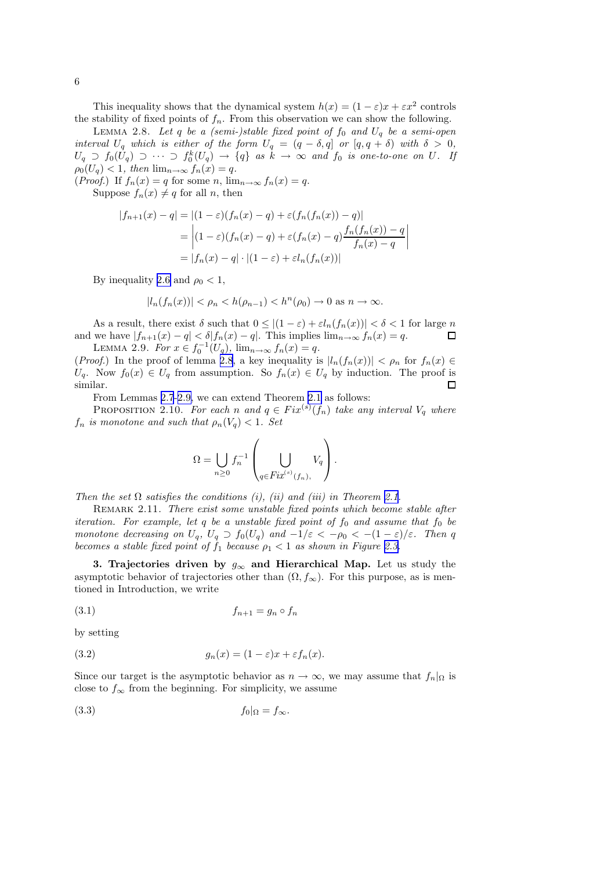<span id="page-5-0"></span>This inequality shows that the dynamical system  $h(x) = (1 - \varepsilon)x + \varepsilon x^2$  controls the stability of fixed points of  $f_n$ . From this observation we can show the following.

LEMMA 2.8. Let  $q$  be a (semi-)stable fixed point of  $f_0$  and  $U_q$  be a semi-open interval  $U_q$  which is either of the form  $U_q = (q - \delta, q]$  or  $[q, q + \delta)$  with  $\delta > 0$ ,  $U_q \supset f_0(U_q) \supset \cdots \supset f_0^k(U_q) \rightarrow \{q\}$  as  $k \rightarrow \infty$  and  $f_0$  is one-to-one on  $U$ . If  $\rho_0(U_q) < 1$ , then  $\lim_{n \to \infty} f_n(x) = q$ .

(*Proof.*) If  $f_n(x) = q$  for some n,  $\lim_{n \to \infty} f_n(x) = q$ .

Suppose  $f_n(x) \neq q$  for all n, then

$$
|f_{n+1}(x) - q| = |(1 - \varepsilon)(f_n(x) - q) + \varepsilon(f_n(f_n(x)) - q)|
$$
  
= 
$$
|(1 - \varepsilon)(f_n(x) - q) + \varepsilon(f_n(x) - q)\frac{f_n(f_n(x)) - q}{f_n(x) - q}|
$$
  
= 
$$
|f_n(x) - q| \cdot |(1 - \varepsilon) + \varepsilon l_n(f_n(x))|
$$

By inequality [2.6](#page-4-0) and  $\rho_0 < 1$ ,

$$
|l_n(f_n(x))| < \rho_n < h(\rho_{n-1}) < h^n(\rho_0) \to 0 \text{ as } n \to \infty.
$$

As a result, there exist  $\delta$  such that  $0 \leq |(1 - \varepsilon) + \varepsilon l_n(f_n(x))| < \delta < 1$  for large n and we have  $|f_{n+1}(x) - q| < \delta |f_n(x) - q|$ . This implies  $\lim_{n \to \infty} f_n(x) = q$ . П LEMMA 2.9. For  $x \in f_0^{-1}(U_q)$ ,  $\lim_{n \to \infty} f_n(x) = q$ .

(Proof.) In the proof of lemma 2.8, a key inequality is  $|l_n(f_n(x))| < \rho_n$  for  $f_n(x) \in$  $U_q$ . Now  $f_0(x) \in U_q$  from assumption. So  $f_n(x) \in U_q$  by induction. The proof is similar.

From Lemmas [2.7](#page-3-0)-2.9, we can extend Theorem [2.1](#page-2-0) as follows:

PROPOSITION 2.10. For each n and  $q \in Fix^{(s)}(f_n)$  take any interval  $V_q$  where  $f_n$  is monotone and such that  $\rho_n(V_q) < 1$ . Set

$$
\Omega = \bigcup_{n \geq 0} f_n^{-1} \left( \bigcup_{q \in Fix^{(s)}(f_n),} V_q \right).
$$

Then the set  $\Omega$  satisfies the conditions (i), (ii) and (iii) in Theorem [2.1.](#page-2-0)

REMARK 2.11. There exist some unstable fixed points which become stable after iteration. For example, let  $q$  be a unstable fixed point of  $f_0$  and assume that  $f_0$  be monotone decreasing on  $U_q$ ,  $U_q \supset f_0(U_q)$  and  $-1/\varepsilon < -\rho_0 < -(1-\varepsilon)/\varepsilon$ . Then q becomes a stable fixed point of  $f_1$  because  $\rho_1 < 1$  as shown in Figure [2.3.](#page-6-0)

3. Trajectories driven by  $g_{\infty}$  and Hierarchical Map. Let us study the asymptotic behavior of trajectories other than  $(\Omega, f_{\infty})$ . For this purpose, as is mentioned in Introduction, we write

$$
(3.1) \t\t f_{n+1} = g_n \circ f_n
$$

by setting

(3.2) 
$$
g_n(x) = (1 - \varepsilon)x + \varepsilon f_n(x).
$$

Since our target is the asymptotic behavior as  $n \to \infty$ , we may assume that  $f_n|_{\Omega}$  is close to  $f_{\infty}$  from the beginning. For simplicity, we assume

$$
(3.3) \t\t f_0|_{\Omega} = f_{\infty}.
$$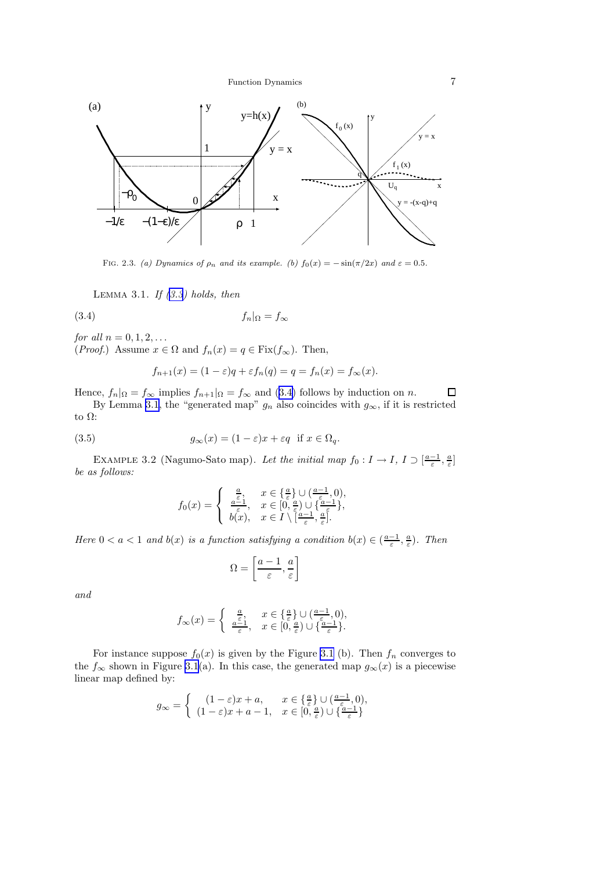<span id="page-6-0"></span>

FIG. 2.3. (a) Dynamics of  $\rho_n$  and its example. (b)  $f_0(x) = -\sin(\pi/2x)$  and  $\varepsilon = 0.5$ .

LEMMA 3.1. If  $(3.3)$  $(3.3)$  $(3.3)$  holds, then

$$
(3.4) \t\t f_n|_{\Omega} = f_{\infty}
$$

*for all*  $n = 0, 1, 2, ...$ 

(*Proof.*) Assume  $x \in \Omega$  and  $f_n(x) = q \in \text{Fix}(f_\infty)$ . Then,

$$
f_{n+1}(x) = (1 - \varepsilon)q + \varepsilon f_n(q) = q = f_n(x) = f_{\infty}(x).
$$

Hence,  $f_n|_{\Omega} = f_{\infty}$  implies  $f_{n+1}|_{\Omega} = f_{\infty}$  and (3.4) follows by induction on n.  $\Box$ 

By Lemma 3.1, the "generated map"  $g_n$  also coincides with  $g_{\infty}$ , if it is restricted to  $\Omega$ :

(3.5) 
$$
g_{\infty}(x) = (1 - \varepsilon)x + \varepsilon q \text{ if } x \in \Omega_q.
$$

EXAMPLE 3.2 (Nagumo-Sato map). Let the initial map  $f_0: I \to I$ ,  $I \supset [\frac{a-1}{\varepsilon}, \frac{a}{\varepsilon}]$ be as follows:

$$
f_0(x) = \begin{cases} \frac{a}{\varepsilon}, & x \in \{\frac{a}{\varepsilon}\} \cup (\frac{a-1}{\varepsilon}, 0), \\ \frac{a-1}{\varepsilon}, & x \in [0, \frac{a}{\varepsilon}) \cup \{\frac{a-1}{\varepsilon}\}, \\ b(x), & x \in I \setminus [\frac{a-1}{\varepsilon}, \frac{a}{\varepsilon}]. \end{cases}
$$

Here  $0 < a < 1$  and  $b(x)$  is a function satisfying a condition  $b(x) \in (\frac{a-1}{\varepsilon}, \frac{a}{\varepsilon})$ . Then

$$
\Omega = \left[\frac{a-1}{\varepsilon}, \frac{a}{\varepsilon}\right]
$$

and

$$
f_{\infty}(x) = \begin{cases} \frac{a}{\varepsilon}, & x \in \{\frac{a}{\varepsilon}\} \cup (\frac{a-1}{\varepsilon}, 0), \\ \frac{a-1}{\varepsilon}, & x \in [0, \frac{a}{\varepsilon}) \cup \{\frac{a-1}{\varepsilon}\}. \end{cases}
$$

For instance suppose  $f_0(x)$  is given by the Figure [3.1](#page-1-0) (b). Then  $f_n$  converges to the  $f_{\infty}$  shown in Figure [3.1](#page-1-0)(a). In this case, the generated map  $g_{\infty}(x)$  is a piecewise linear map defined by:

$$
g_{\infty} = \begin{cases} (1-\varepsilon)x + a, & x \in \{\frac{a}{\varepsilon}\} \cup (\frac{a-1}{\varepsilon}, 0), \\ (1-\varepsilon)x + a - 1, & x \in [0, \frac{a}{\varepsilon}) \cup \{\frac{a-1}{\varepsilon}\} \end{cases}
$$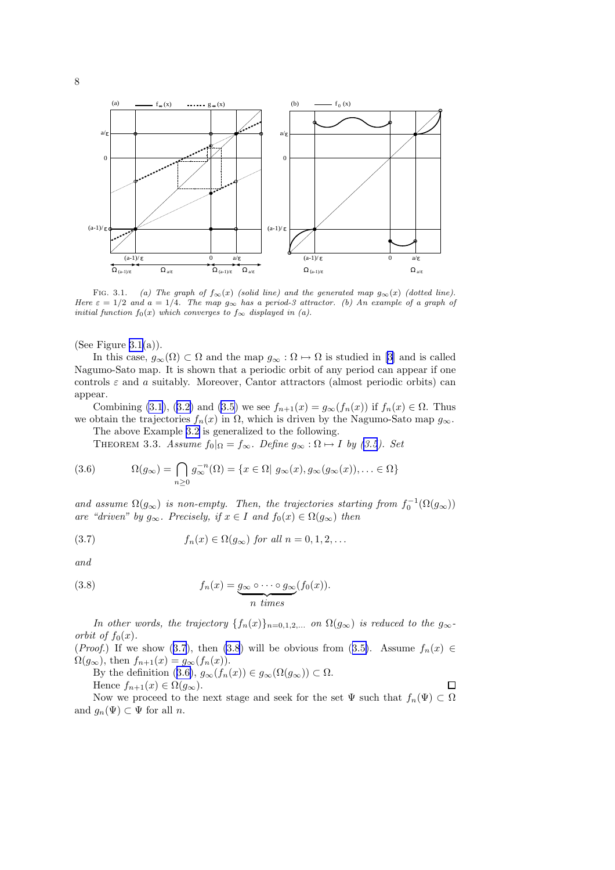<span id="page-7-0"></span>

FIG. 3.1. (a) The graph of  $f_{\infty}(x)$  (solid line) and the generated map  $g_{\infty}(x)$  (dotted line). Here  $\varepsilon = 1/2$  and  $a = 1/4$ . The map  $g_{\infty}$  has a period-3 attractor. (b) An example of a graph of initial function  $f_0(x)$  which converges to  $f_{\infty}$  displayed in (a).

(See Figure  $3.1(a)$ ).

In this case,  $g_{\infty}(\Omega) \subset \Omega$  and the map  $g_{\infty} : \Omega \mapsto \Omega$  is studied in [\[3\]](#page-15-0) and is called Nagumo-Sato map. It is shown that a periodic orbit of any period can appear if one controls  $\varepsilon$  and a suitably. Moreover, Cantor attractors (almost periodic orbits) can appear.

Combining [\(3.1](#page-5-0)), [\(3.2\)](#page-5-0) and [\(3.5\)](#page-6-0) we see  $f_{n+1}(x) = g_{\infty}(f_n(x))$  if  $f_n(x) \in \Omega$ . Thus we obtain the trajectories  $f_n(x)$  in  $\Omega$ , which is driven by the Nagumo-Sato map  $g_{\infty}$ .

The above Example [3.2](#page-6-0) is generalized to the following.

THEOREM 3.3. Assume  $f_0|_{\Omega} = f_{\infty}$ . Define  $g_{\infty} : \Omega \mapsto I$  by [\(3.5](#page-6-0)). Set

(3.6) 
$$
\Omega(g_{\infty}) = \bigcap_{n \geq 0} g_{\infty}^{-n}(\Omega) = \{x \in \Omega | g_{\infty}(x), g_{\infty}(g_{\infty}(x)), \dots \in \Omega\}
$$

and assume  $\Omega(g_{\infty})$  is non-empty. Then, the trajectories starting from  $f_0^{-1}(\Omega(g_{\infty}))$ are "driven" by  $g_{\infty}$ . Precisely, if  $x \in I$  and  $f_0(x) \in \Omega(g_{\infty})$  then

(3.7) 
$$
f_n(x) \in \Omega(g_\infty) \text{ for all } n = 0, 1, 2, ...
$$

and

(3.8) 
$$
f_n(x) = \underbrace{g_{\infty} \circ \cdots \circ g_{\infty}}_{n \text{ times}} (f_0(x)).
$$

In other words, the trajectory  $\{f_n(x)\}_{n=0,1,2,...}$  on  $\Omega(g_\infty)$  is reduced to the  $g_\infty$ orbit of  $f_0(x)$ .

(Proof.) If we show (3.7), then (3.8) will be obvious from ([3.5\)](#page-6-0). Assume  $f_n(x) \in$  $\Omega(g_{\infty})$ , then  $f_{n+1}(x) = g_{\infty}(f_n(x)).$ 

By the definition  $(3.6), g_\infty(f_n(x)) \in g_\infty(\Omega(g_\infty)) \subset \Omega$ . Hence  $f_{n+1}(x) \in \Omega(g_{\infty}).$ 

Now we proceed to the next stage and seek for the set  $\Psi$  such that  $f_n(\Psi) \subset \Omega$ and  $g_n(\Psi) \subset \Psi$  for all n.

 $\Box$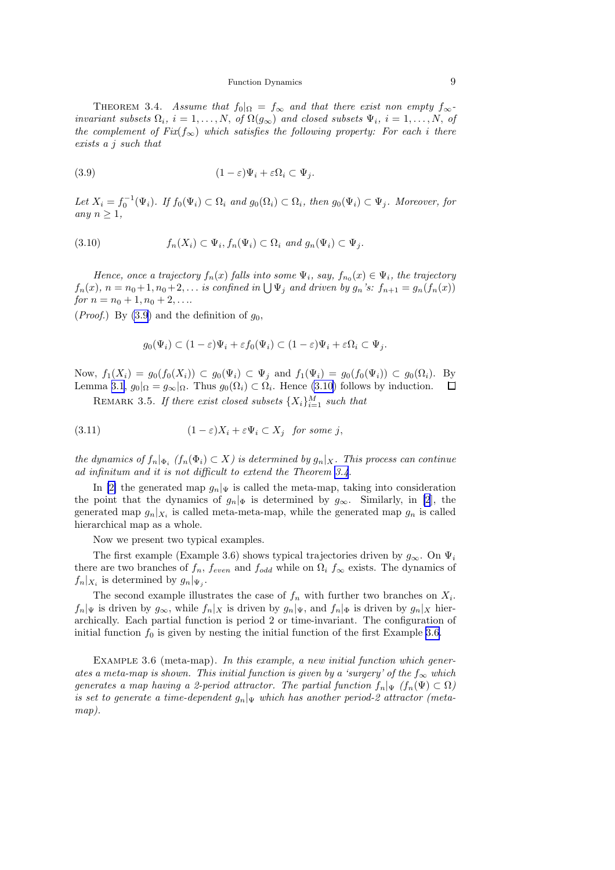<span id="page-8-0"></span>THEOREM 3.4. Assume that  $f_0|_{\Omega} = f_{\infty}$  and that there exist non empty  $f_{\infty}$ invariant subsets  $\Omega_i$ ,  $i = 1, ..., N$ , of  $\Omega(g_{\infty})$  and closed subsets  $\Psi_i$ ,  $i = 1, ..., N$ , of the complement of  $Fix(f_{\infty})$  which satisfies the following property: For each i there exists a j such that

(3.9) 
$$
(1 - \varepsilon)\Psi_i + \varepsilon \Omega_i \subset \Psi_j.
$$

Let  $X_i = f_0^{-1}(\Psi_i)$ . If  $f_0(\Psi_i) \subset \Omega_i$  and  $g_0(\Omega_i) \subset \Omega_i$ , then  $g_0(\Psi_i) \subset \Psi_j$ . Moreover, for any  $n \geq 1$ ,

(3.10) 
$$
f_n(X_i) \subset \Psi_i, f_n(\Psi_i) \subset \Omega_i \text{ and } g_n(\Psi_i) \subset \Psi_j.
$$

Hence, once a trajectory  $f_n(x)$  falls into some  $\Psi_i$ , say,  $f_{n_0}(x) \in \Psi_i$ , the trajectory  $f_n(x)$ ,  $n = n_0 + 1, n_0 + 2, \ldots$  is confined in  $\bigcup \Psi_j$  and driven by  $g_n$ 's:  $f_{n+1} = g_n(f_n(x))$ for  $n = n_0 + 1, n_0 + 2, \ldots$ 

(*Proof.*) By (3.9) and the definition of  $g_0$ ,

$$
g_0(\Psi_i) \subset (1-\varepsilon)\Psi_i + \varepsilon f_0(\Psi_i) \subset (1-\varepsilon)\Psi_i + \varepsilon \Omega_i \subset \Psi_j.
$$

Now,  $f_1(X_i) = g_0(f_0(X_i)) \subset g_0(\Psi_i) \subset \Psi_i$  and  $f_1(\Psi_i) = g_0(f_0(\Psi_i)) \subset g_0(\Omega_i)$ . By Lemma [3.1](#page-6-0),  $g_0|_{\Omega} = g_{\infty}|_{\Omega}$ . Thus  $g_0(\Omega_i) \subset \Omega_i$ . Hence (3.10) follows by induction.  $\Box$ 

REMARK 3.5. If there exist closed subsets  $\{X_i\}_{i=1}^M$  such that

(3.11) 
$$
(1 - \varepsilon)X_i + \varepsilon \Psi_i \subset X_j \text{ for some } j,
$$

the dynamics of  $f_n|_{\Phi_i}$  ( $f_n(\Phi_i) \subset X$ ) is determined by  $g_n|_X$ . This process can continue ad infinitum and it is not difficult to extend the Theorem [3.4](#page-7-0).

In [\[2\]](#page-15-0) the generated map  $g_n|_\Psi$  is called the meta-map, taking into consideration the point that the dynamics of  $g_n|_{\Phi}$  is determined by  $g_{\infty}$ . Similarly, in [\[2](#page-15-0)], the generated map  $g_n|_{X_i}$  is called meta-meta-map, while the generated map  $g_n$  is called hierarchical map as a whole.

Now we present two typical examples.

The first example (Example 3.6) shows typical trajectories driven by  $g_{\infty}$ . On  $\Psi_i$ there are two branches of  $f_n$ ,  $f_{even}$  and  $f_{odd}$  while on  $\Omega_i$   $f_{\infty}$  exists. The dynamics of  $f_n|_{X_i}$  is determined by  $g_n|_{\Psi_i}$ .

The second example illustrates the case of  $f_n$  with further two branches on  $X_i$ .  $f_n|_\Psi$  is driven by  $g_\infty$ , while  $f_n|_X$  is driven by  $g_n|_\Psi$ , and  $f_n|_\Phi$  is driven by  $g_n|_X$  hierarchically. Each partial function is period 2 or time-invariant. The configuration of initial function  $f_0$  is given by nesting the initial function of the first Example 3.6.

EXAMPLE 3.6 (meta-map). In this example, a new initial function which generates a meta-map is shown. This initial function is given by a 'surgery' of the  $f_{\infty}$  which generates a map having a 2-period attractor. The partial function  $f_n|\Psi(f_n(\Psi) \subset \Omega)$ is set to generate a time-dependent  $g_n|_\Psi$  which has another period-2 attractor (metamap).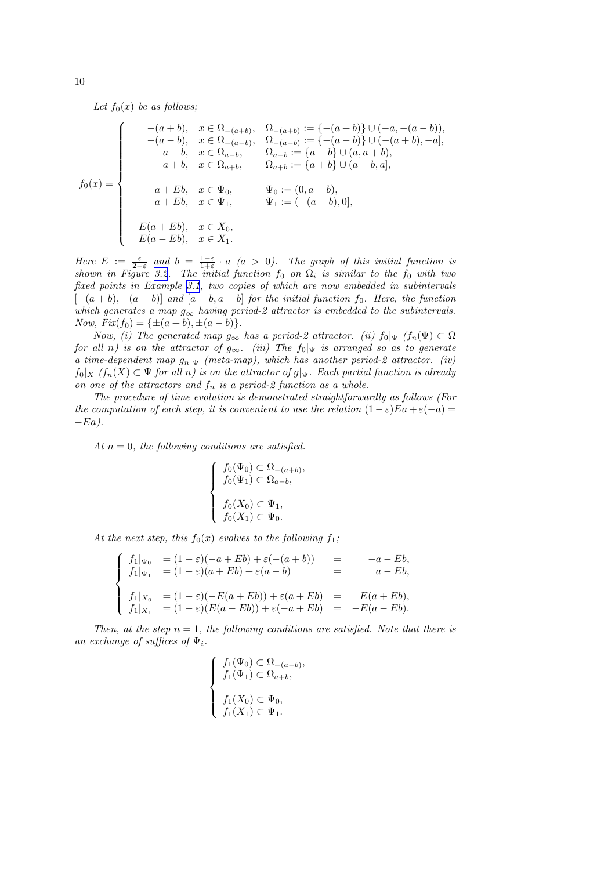Let  $f_0(x)$  be as follows;

$$
f_0(x) = \begin{cases}\n-(a+b), & x \in \Omega_{-(a+b)}, \Omega_{-(a+b)} := \{-(a+b)\} \cup (-a, -(a-b)), \\
-(a-b), & x \in \Omega_{-(a-b)}, \Omega_{-(a-b)} := \{-(a-b)\} \cup (-a+b), -a], \\
a-b, & x \in \Omega_{a-b}, \Omega_{a-b} := \{a-b\} \cup (a, a+b), \\
a+b, & x \in \Omega_{a+b}, \Omega_{a+b} := \{a+b\} \cup (a-b,a], \\
a+Bb, & x \in \Psi_0, \Psi_0 := (0, a-b), \\
a+Eb, & x \in \Psi_1, \Psi_1 := (-a-b), 0], \\
-E(a+Eb), & x \in X_0, \\
E(a-Eb), & x \in X_1.\n\end{cases}
$$

Here  $E := \frac{\varepsilon}{2-\varepsilon}$  and  $b = \frac{1-\varepsilon}{1+\varepsilon} \cdot a$  (a > 0). The graph of this initial function is shown in Figure [3.2](#page-4-0). The initial function  $f_0$  on  $\Omega_i$  is similar to the  $f_0$  with two fixed points in Example [3.1](#page-1-0), two copies of which are now embedded in subintervals  $[-(a + b), -(a - b)]$  and  $[a - b, a + b]$  for the initial function f<sub>0</sub>. Here, the function which generates a map  $g_{\infty}$  having period-2 attractor is embedded to the subintervals. Now,  $Fix(f_0) = {\pm (a+b), \pm (a-b)}.$ 

Now, (i) The generated map  $g_{\infty}$  has a period-2 attractor. (ii)  $f_0|\Psi(f_n(\Psi) \subset \Omega)$ for all n) is on the attractor of  $g_{\infty}$ . (iii) The  $f_0|_{\Psi}$  is arranged so as to generate a time-dependent map  $g_n|_\Psi$  (meta-map), which has another period-2 attractor. (iv)  $f_0|_X$  ( $f_n(X) \subset \Psi$  for all n) is on the attractor of  $g|_{\Psi}$ . Each partial function is already on one of the attractors and  $f_n$  is a period-2 function as a whole.

The procedure of time evolution is demonstrated straightforwardly as follows (For the computation of each step, it is convenient to use the relation  $(1 - \varepsilon)E_a + \varepsilon(-a) =$  $-Ea$ ).

,

At  $n = 0$ , the following conditions are satisfied.

$$
\begin{cases}\nf_0(\Psi_0) \subset \Omega_{-(a+b)} \\
f_0(\Psi_1) \subset \Omega_{a-b}, \\
f_0(X_0) \subset \Psi_1, \\
f_0(X_1) \subset \Psi_0.\n\end{cases}
$$

At the next step, this  $f_0(x)$  evolves to the following  $f_1$ ;

$$
\begin{cases}\nf_1|_{\Psi_0} = (1 - \varepsilon)(-a + Eb) + \varepsilon(-(a + b)) = -a - Eb, \\
f_1|_{\Psi_1} = (1 - \varepsilon)(a + Eb) + \varepsilon(a - b) = a - Eb, \\
f_1|_{X_0} = (1 - \varepsilon)(-E(a + Eb)) + \varepsilon(a + Eb) = E(a + Eb), \\
f_1|_{X_1} = (1 - \varepsilon)(E(a - Eb)) + \varepsilon(-a + Eb) = -E(a - Eb).\n\end{cases}
$$

Then, at the step  $n = 1$ , the following conditions are satisfied. Note that there is an exchange of suffices of  $\Psi_i$ .

$$
\begin{cases}\nf_1(\Psi_0) \subset \Omega_{-(a-b)}, \\
f_1(\Psi_1) \subset \Omega_{a+b}, \\
f_1(X_0) \subset \Psi_0, \\
f_1(X_1) \subset \Psi_1.\n\end{cases}
$$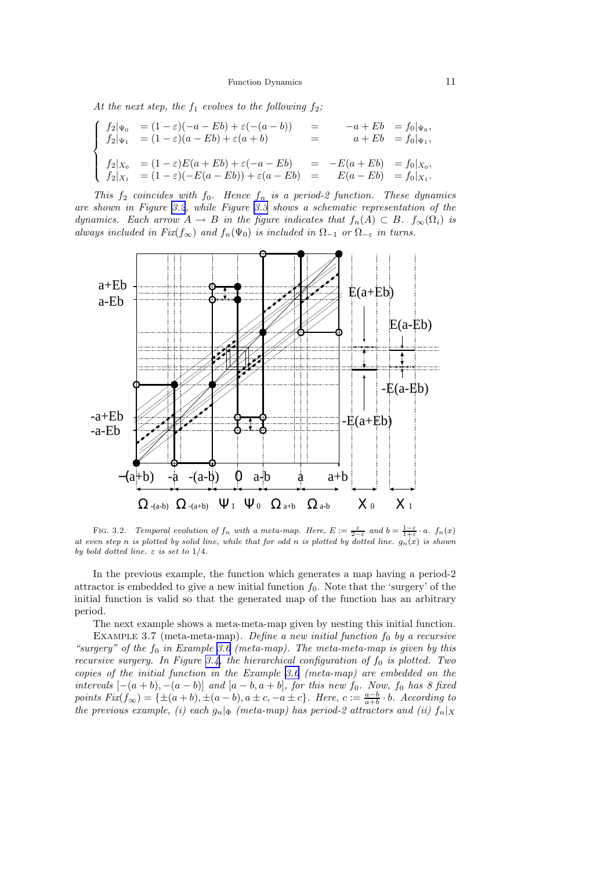Function Dynamics 11

<span id="page-10-0"></span>At the next step, the  $f_1$  evolves to the following  $f_2$ ;

$$
\begin{cases}\nf_2|\Psi_0 = (1-\varepsilon)(-a-Eb) + \varepsilon(-(a-b)) &= -a+Eb = f_0|\Psi_0, \\
f_2|\Psi_1 = (1-\varepsilon)(a-Eb) + \varepsilon(a+b) &= a+Eb = f_0|\Psi_1, \\
f_2|_{X_0} = (1-\varepsilon)E(a+Eb) + \varepsilon(-a-Eb) &= -E(a+Eb) = f_0|_{X_0}, \\
f_2|_{X_1} = (1-\varepsilon)(-E(a-Eb)) + \varepsilon(a-Eb) &= E(a-Eb) = f_0|_{X_1}.\n\end{cases}
$$

This  $f_2$  coincides with  $f_0$ . Hence  $f_n$  is a period-2 function. These dynamics are shown in Figure [3.2](#page-4-0), while Figure [3.3](#page-6-0) shows a schematic representation of the dynamics. Each arrow  $A \to B$  in the figure indicates that  $f_n(A) \subset B$ .  $f_{\infty}(\Omega_i)$  is always included in Fix(f<sub>∞</sub>) and  $f_n(\Psi_0)$  is included in  $\Omega_{-1}$  or  $\Omega_{-\varepsilon}$  in turns.



FIG. 3.2. Temporal evolution of  $f_n$  with a meta-map. Here,  $E := \frac{\varepsilon}{2-\varepsilon}$  and  $b = \frac{1-\varepsilon}{1+\varepsilon} \cdot a$ .  $f_n(x)$ at even step n is plotted by solid line, while that for odd n is plotted by dotted line.  $g_n(x)$  is shown by bold dotted line.  $\varepsilon$  is set to  $1/4$ .

In the previous example, the function which generates a map having a period-2 attractor is embedded to give a new initial function  $f_0$ . Note that the 'surgery' of the initial function is valid so that the generated map of the function has an arbitrary period.

The next example shows a meta-meta-map given by nesting this initial function.

EXAMPLE 3.7 (meta-meta-map). Define a new initial function  $f_0$  by a recursive "surgery" of the  $f_0$  in Example [3.6](#page-8-0) (meta-map). The meta-meta-map is given by this recursive surgery. In Figure [3.4,](#page-11-0) the hierarchical configuration of  $f_0$  is plotted. Two copies of the initial function in the Example [3.6](#page-8-0) (meta-map) are embedded on the intervals  $[-(a + b), -(a - b)]$  and  $[a - b, a + b]$ , for this new f<sub>0</sub>. Now, f<sub>0</sub> has 8 fixed points  $Fix(f_{\infty}) = {\pm (a+b), \pm (a-b), a \pm c, -a \pm c}.$  Here,  $c := \frac{a-b}{a+b} \cdot b$ . According to the previous example, (i) each  $g_n|_{\Phi}$  (meta-map) has period-2 attractors and (ii)  $f_n|_X$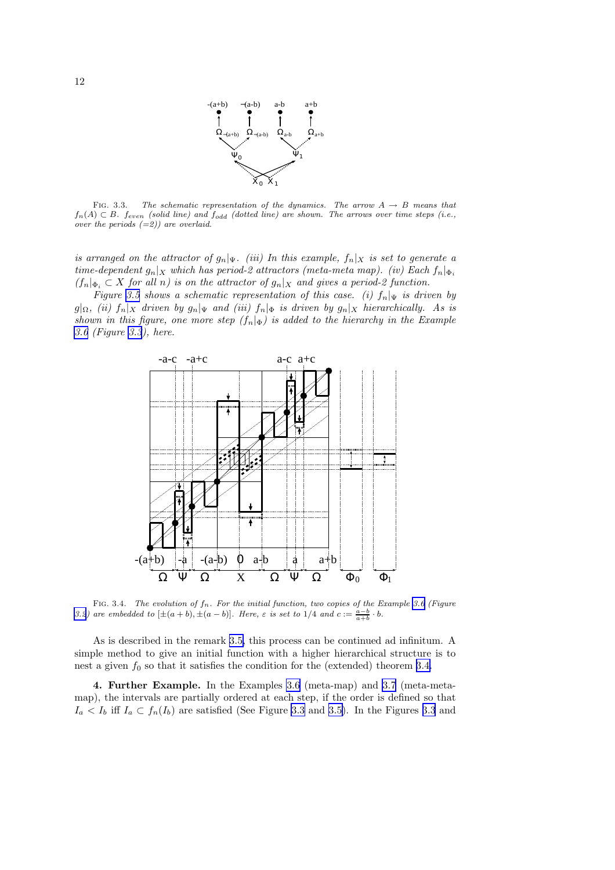

<span id="page-11-0"></span>FIG. 3.3. The schematic representation of the dynamics. The arrow  $A \rightarrow B$  means that  $f_n(A) \subset B$ . feven (solid line) and  $f_{odd}$  (dotted line) are shown. The arrows over time steps (i.e., over the periods  $(=2)$ ) are overlaid.

is arranged on the attractor of  $g_n|_{\Psi}$ . (iii) In this example,  $f_n|_X$  is set to generate a time-dependent  $g_n|_X$  which has period-2 attractors (meta-meta map). (iv) Each  $f_n|_{\Phi_i}$  $(f_n|_{\Phi_i} \subset X$  for all n) is on the attractor of  $g_n|_X$  and gives a period-2 function.

Figure [3.5](#page-12-0) shows a schematic representation of this case. (i)  $f_n|_{\Psi}$  is driven by  $g|_{\Omega}$ , (ii)  $f_n|_X$  driven by  $g_n|_{\Psi}$  and (iii)  $f_n|_{\Phi}$  is driven by  $g_n|_X$  hierarchically. As is shown in this figure, one more step  $(f_n|_{\Phi})$  is added to the hierarchy in the Example [3.6](#page-8-0) (Figure [3.3](#page-6-0)), here.



FIG. 3.4. The evolution of  $f_n$ . For the initial function, two copies of the Example [3.6](#page-8-0) (Figure [3.2](#page-4-0)) are embedded to  $[\pm (a+b), \pm (a-b)]$ . Here,  $\varepsilon$  is set to 1/4 and  $c := \frac{a-b}{a+b} \cdot b$ .

As is described in the remark [3.5,](#page-8-0) this process can be continued ad infinitum. A simple method to give an initial function with a higher hierarchical structure is to nest a given  $f_0$  so that it satisfies the condition for the (extended) theorem [3.4.](#page-7-0)

4. Further Example. In the Examples [3.6](#page-8-0) (meta-map) and [3.7](#page-10-0) (meta-metamap), the intervals are partially ordered at each step, if the order is defined so that  $I_a < I_b$  iff  $I_a \subset f_n(I_b)$  are satisfied (See Figure [3.3](#page-6-0) and [3.5\)](#page-12-0). In the Figures 3.3 and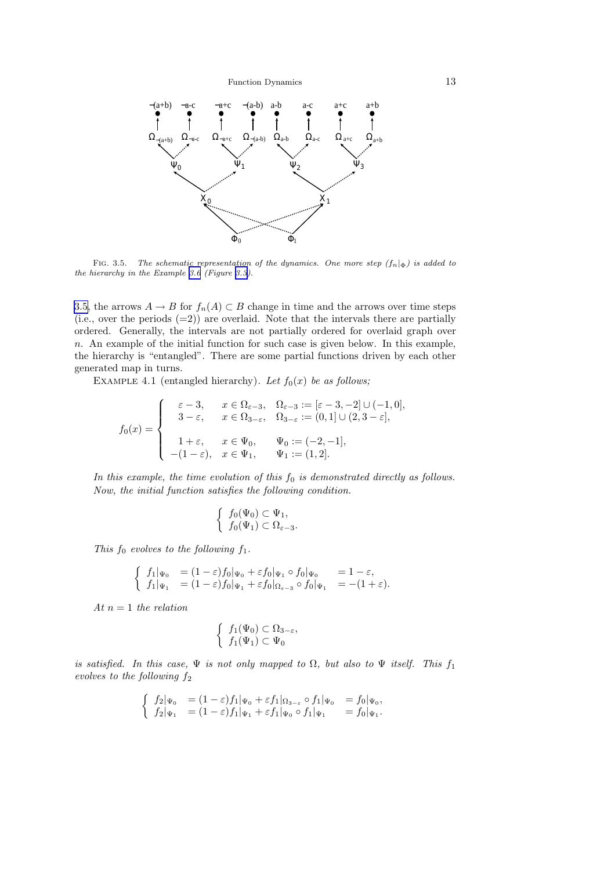Function Dynamics 13

<span id="page-12-0"></span>

FIG. 3.5. The schematic representation of the dynamics. One more step  $(f_n|_{\Phi})$  is added to the hierarchy in the Example [3.6](#page-8-0) (Figure [3.3\)](#page-6-0).

3.5, the arrows  $A \to B$  for  $f_n(A) \subset B$  change in time and the arrows over time steps (i.e., over the periods  $(=2)$ ) are overlaid. Note that the intervals there are partially ordered. Generally, the intervals are not partially ordered for overlaid graph over n. An example of the initial function for such case is given below. In this example, the hierarchy is "entangled". There are some partial functions driven by each other generated map in turns.

EXAMPLE 4.1 (entangled hierarchy). Let  $f_0(x)$  be as follows;

$$
f_0(x)=\left\{\begin{array}{cl} \varepsilon-3,&x\in\Omega_{\varepsilon-3},&\Omega_{\varepsilon-3}:=[\varepsilon-3,-2]\cup(-1,0],\\ 3-\varepsilon,&x\in\Omega_{3-\varepsilon},&\Omega_{3-\varepsilon}:=(0,1]\cup(2,3-\varepsilon],\\ 1+\varepsilon,&x\in\Psi_0,&\Psi_0:=(-2,-1],\\ -(1-\varepsilon),&x\in\Psi_1,&\Psi_1:=(1,2]. \end{array}\right.
$$

In this example, the time evolution of this  $f_0$  is demonstrated directly as follows. Now, the initial function satisfies the following condition.

$$
\begin{cases} f_0(\Psi_0) \subset \Psi_1, \\ f_0(\Psi_1) \subset \Omega_{\varepsilon-3}. \end{cases}
$$

This  $f_0$  evolves to the following  $f_1$ .

$$
\begin{cases}\nf_1|_{\Psi_0} = (1 - \varepsilon)f_0|_{\Psi_0} + \varepsilon f_0|_{\Psi_1} \circ f_0|_{\Psi_0} = 1 - \varepsilon, \\
f_1|_{\Psi_1} = (1 - \varepsilon)f_0|_{\Psi_1} + \varepsilon f_0|_{\Omega_{\varepsilon - 3}} \circ f_0|_{\Psi_1} = -(1 + \varepsilon).\n\end{cases}
$$

At  $n=1$  the relation

$$
\begin{cases} f_1(\Psi_0) \subset \Omega_{3-\varepsilon}, \\ f_1(\Psi_1) \subset \Psi_0 \end{cases}
$$

is satisfied. In this case,  $\Psi$  is not only mapped to  $\Omega$ , but also to  $\Psi$  itself. This  $f_1$ evolves to the following  $f_2$ 

$$
\begin{cases}\nf_2|\Psi_0 = (1-\varepsilon)f_1|\Psi_0 + \varepsilon f_1|_{\Omega_{3-\varepsilon}} \circ f_1|\Psi_0 = f_0|\Psi_0, \\
f_2|\Psi_1 = (1-\varepsilon)f_1|\Psi_1 + \varepsilon f_1|\Psi_0 \circ f_1|\Psi_1 = f_0|\Psi_1.\n\end{cases}
$$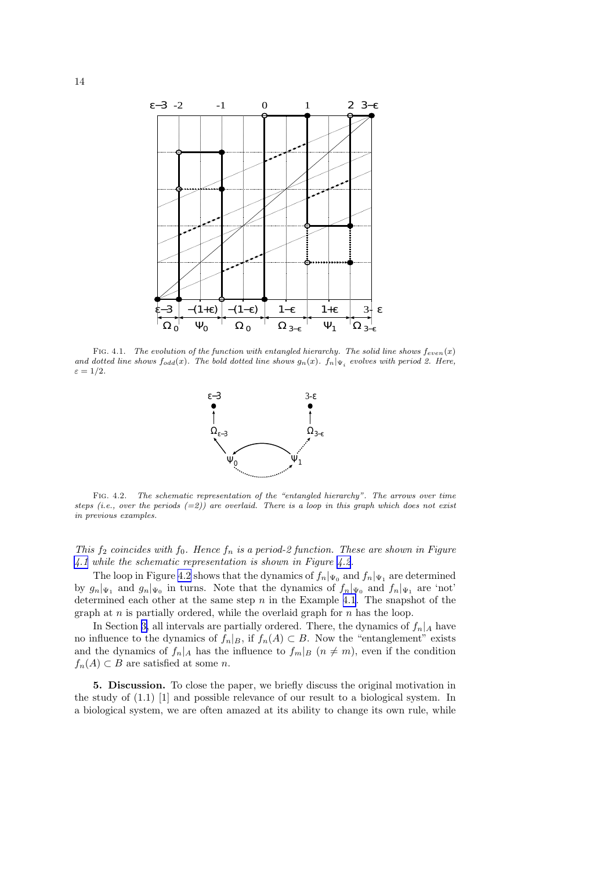

FIG. 4.1. The evolution of the function with entangled hierarchy. The solid line shows  $f_{even}(x)$ and dotted line shows  $f_{odd}(x)$ . The bold dotted line shows  $g_n(x)$ .  $f_n|_{\Psi_i}$  evolves with period 2. Here,  $\varepsilon = 1/2$ .



Fig. 4.2. The schematic representation of the "entangled hierarchy". The arrows over time steps (i.e., over the periods  $(=2)$ ) are overlaid. There is a loop in this graph which does not exist in previous examples.

This  $f_2$  coincides with  $f_0$ . Hence  $f_n$  is a period-2 function. These are shown in Figure [4.1](#page-1-0) while the schematic representation is shown in Figure [4.2](#page-4-0).

The loop in Figure [4.2](#page-4-0) shows that the dynamics of  $f_n|_{\Psi_0}$  and  $f_n|_{\Psi_1}$  are determined by  $g_n|_{\Psi_1}$  and  $g_n|_{\Psi_0}$  in turns. Note that the dynamics of  $f_n|_{\Psi_0}$  and  $f_n|_{\Psi_1}$  are 'not' determined each other at the same step  $n$  in the Example [4.1](#page-12-0). The snapshot of the graph at  $n$  is partially ordered, while the overlaid graph for  $n$  has the loop.

In Section [3,](#page-5-0) all intervals are partially ordered. There, the dynamics of  $f_n|_A$  have no influence to the dynamics of  $f_n|_B$ , if  $f_n(A) \subset B$ . Now the "entanglement" exists and the dynamics of  $f_n|_A$  has the influence to  $f_m|_B$   $(n \neq m)$ , even if the condition  $f_n(A) \subset B$  are satisfied at some n.

5. Discussion. To close the paper, we briefly discuss the original motivation in the study of (1.1) [1] and possible relevance of our result to a biological system. In a biological system, we are often amazed at its ability to change its own rule, while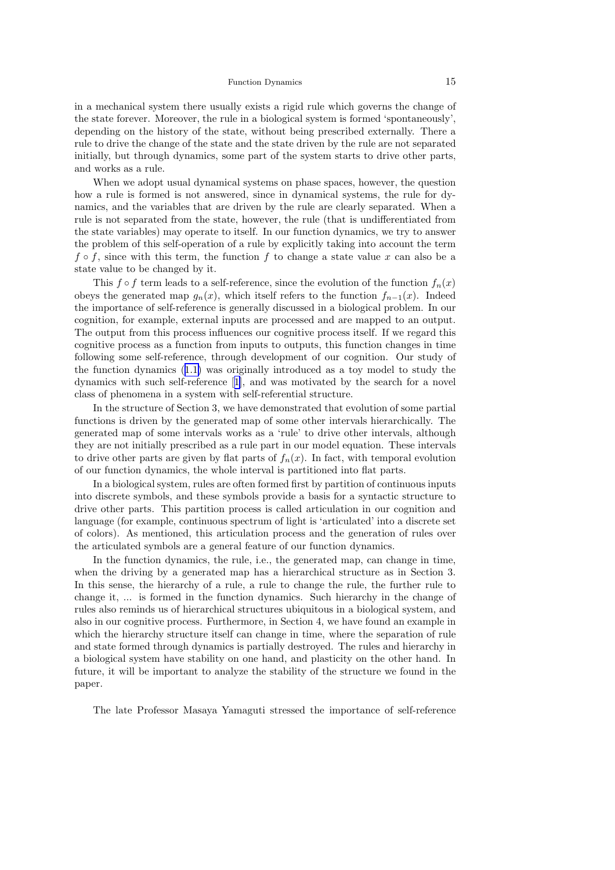in a mechanical system there usually exists a rigid rule which governs the change of the state forever. Moreover, the rule in a biological system is formed 'spontaneously', depending on the history of the state, without being prescribed externally. There a rule to drive the change of the state and the state driven by the rule are not separated initially, but through dynamics, some part of the system starts to drive other parts, and works as a rule.

When we adopt usual dynamical systems on phase spaces, however, the question how a rule is formed is not answered, since in dynamical systems, the rule for dynamics, and the variables that are driven by the rule are clearly separated. When a rule is not separated from the state, however, the rule (that is undifferentiated from the state variables) may operate to itself. In our function dynamics, we try to answer the problem of this self-operation of a rule by explicitly taking into account the term  $f \circ f$ , since with this term, the function f to change a state value x can also be a state value to be changed by it.

This f  $\circ$  f term leads to a self-reference, since the evolution of the function  $f_n(x)$ obeys the generated map  $g_n(x)$ , which itself refers to the function  $f_{n-1}(x)$ . Indeed the importance of self-reference is generally discussed in a biological problem. In our cognition, for example, external inputs are processed and are mapped to an output. The output from this process influences our cognitive process itself. If we regard this cognitive process as a function from inputs to outputs, this function changes in time following some self-reference, through development of our cognition. Our study of the function dynamics ([1.1\)](#page-0-0) was originally introduced as a toy model to study the dynamics with such self-reference[[1\]](#page-15-0), and was motivated by the search for a novel class of phenomena in a system with self-referential structure.

In the structure of Section 3, we have demonstrated that evolution of some partial functions is driven by the generated map of some other intervals hierarchically. The generated map of some intervals works as a 'rule' to drive other intervals, although they are not initially prescribed as a rule part in our model equation. These intervals to drive other parts are given by flat parts of  $f_n(x)$ . In fact, with temporal evolution of our function dynamics, the whole interval is partitioned into flat parts.

In a biological system, rules are often formed first by partition of continuous inputs into discrete symbols, and these symbols provide a basis for a syntactic structure to drive other parts. This partition process is called articulation in our cognition and language (for example, continuous spectrum of light is 'articulated' into a discrete set of colors). As mentioned, this articulation process and the generation of rules over the articulated symbols are a general feature of our function dynamics.

In the function dynamics, the rule, i.e., the generated map, can change in time, when the driving by a generated map has a hierarchical structure as in Section 3. In this sense, the hierarchy of a rule, a rule to change the rule, the further rule to change it, ... is formed in the function dynamics. Such hierarchy in the change of rules also reminds us of hierarchical structures ubiquitous in a biological system, and also in our cognitive process. Furthermore, in Section 4, we have found an example in which the hierarchy structure itself can change in time, where the separation of rule and state formed through dynamics is partially destroyed. The rules and hierarchy in a biological system have stability on one hand, and plasticity on the other hand. In future, it will be important to analyze the stability of the structure we found in the paper.

The late Professor Masaya Yamaguti stressed the importance of self-reference